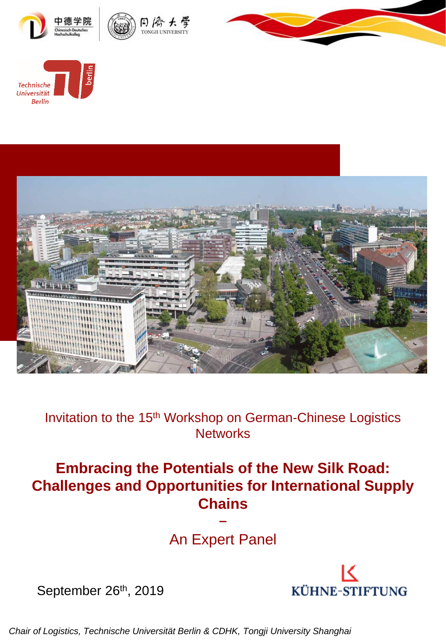







Invitation to the 15<sup>th</sup> Workshop on German-Chinese Logistics **Networks** 

#### **Embracing the Potentials of the New Silk Road: Challenges and Opportunities for International Supply Chains**

An Expert Panel

−



September 26<sup>th</sup>, 2019

*Chair of Logistics, Technische Universität Berlin & CDHK, Tongji University Shanghai*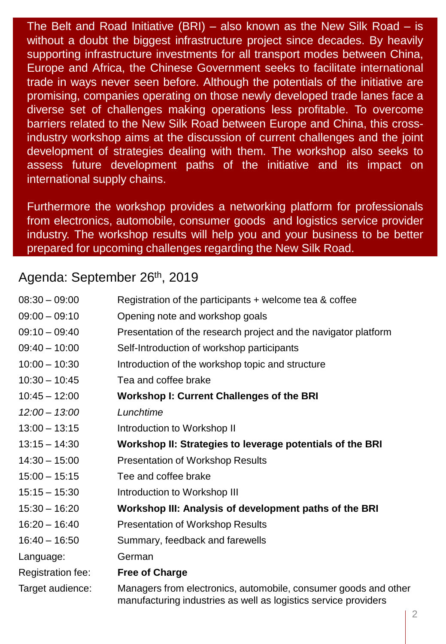The Belt and Road Initiative (BRI) – also known as the New Silk Road – is without a doubt the biggest infrastructure project since decades. By heavily supporting infrastructure investments for all transport modes between China, Europe and Africa, the Chinese Government seeks to facilitate international trade in ways never seen before. Although the potentials of the initiative are promising, companies operating on those newly developed trade lanes face a diverse set of challenges making operations less profitable. To overcome barriers related to the New Silk Road between Europe and China, this crossindustry workshop aims at the discussion of current challenges and the joint development of strategies dealing with them. The workshop also seeks to assess future development paths of the initiative and its impact on international supply chains.

Furthermore the workshop provides a networking platform for professionals from electronics, automobile, consumer goods and logistics service provider industry. The workshop results will help you and your business to be better prepared for upcoming challenges regarding the New Silk Road.

#### Agenda: September 26th, 2019

| $08:30 - 09:00$   | Registration of the participants + welcome tea & coffee                                                                            |
|-------------------|------------------------------------------------------------------------------------------------------------------------------------|
| $09:00 - 09:10$   | Opening note and workshop goals                                                                                                    |
| $09:10 - 09:40$   | Presentation of the research project and the navigator platform                                                                    |
| $09:40 - 10:00$   | Self-Introduction of workshop participants                                                                                         |
| $10:00 - 10:30$   | Introduction of the workshop topic and structure                                                                                   |
| $10:30 - 10:45$   | Tea and coffee brake                                                                                                               |
| $10:45 - 12:00$   | <b>Workshop I: Current Challenges of the BRI</b>                                                                                   |
| $12:00 - 13:00$   | Lunchtime                                                                                                                          |
| $13:00 - 13:15$   | Introduction to Workshop II                                                                                                        |
| $13:15 - 14:30$   | Workshop II: Strategies to leverage potentials of the BRI                                                                          |
| $14:30 - 15:00$   | <b>Presentation of Workshop Results</b>                                                                                            |
| $15:00 - 15:15$   | Tee and coffee brake                                                                                                               |
| $15:15 - 15:30$   | Introduction to Workshop III                                                                                                       |
| $15:30 - 16:20$   | Workshop III: Analysis of development paths of the BRI                                                                             |
| $16:20 - 16:40$   | <b>Presentation of Workshop Results</b>                                                                                            |
| $16:40 - 16:50$   | Summary, feedback and farewells                                                                                                    |
| Language:         | German                                                                                                                             |
| Registration fee: | <b>Free of Charge</b>                                                                                                              |
| Target audience:  | Managers from electronics, automobile, consumer goods and other<br>manufacturing industries as well as logistics service providers |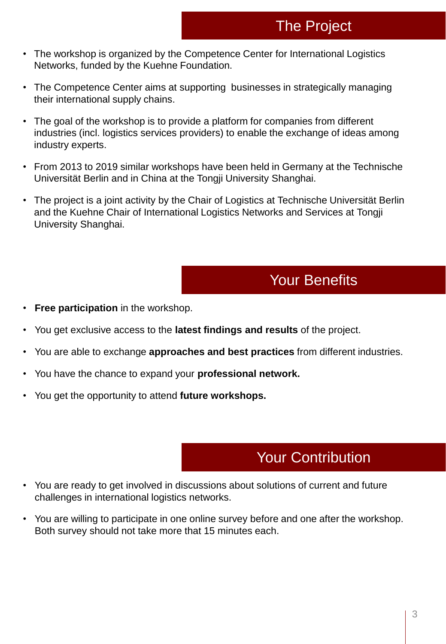- The workshop is organized by the Competence Center for International Logistics Networks, funded by the Kuehne Foundation.
- The Competence Center aims at supporting businesses in strategically managing their international supply chains.
- The goal of the workshop is to provide a platform for companies from different industries (incl. logistics services providers) to enable the exchange of ideas among industry experts.
- From 2013 to 2019 similar workshops have been held in Germany at the Technische Universität Berlin and in China at the Tongji University Shanghai.
- The project is a joint activity by the Chair of Logistics at Technische Universität Berlin and the Kuehne Chair of International Logistics Networks and Services at Tongji University Shanghai.

## Your Benefits

- **Free participation** in the workshop.
- You get exclusive access to the **latest findings and results** of the project.
- You are able to exchange **approaches and best practices** from different industries.
- You have the chance to expand your **professional network.**
- You get the opportunity to attend **future workshops.**

#### Your Contribution

- You are ready to get involved in discussions about solutions of current and future challenges in international logistics networks.
- You are willing to participate in one online survey before and one after the workshop. Both survey should not take more that 15 minutes each.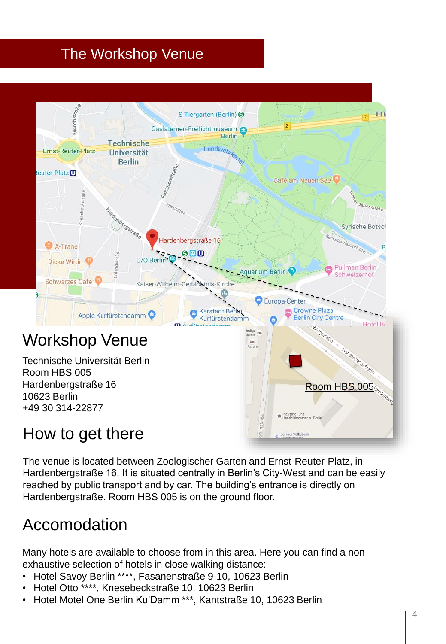# The Workshop Venue



## How to get there

The venue is located between Zoologischer Garten and Ernst-Reuter-Platz, in Hardenbergstraße 16. It is situated centrally in Berlin's City-West and can be easily reached by public transport and by car. The building's entrance is directly on Hardenbergstraße. Room HBS 005 is on the ground floor.

# Accomodation

Many hotels are available to choose from in this area. Here you can find a nonexhaustive selection of hotels in close walking distance:

- Hotel Savoy Berlin \*\*\*\*, Fasanenstraße 9-10, 10623 Berlin
- Hotel Otto \*\*\*\*, Knesebeckstraße 10, 10623 Berlin
- Hotel Motel One Berlin Ku'Damm \*\*\*, Kantstraße 10, 10623 Berlin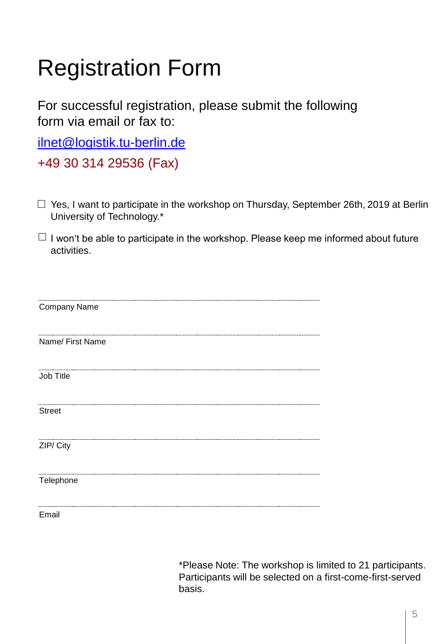# Registration Form

For successful registration, please submit the following form via email or fax to:

[ilnet@logistik.tu-berlin.de](mailto:china@logistik.tu-berlin.de)

+49 30 314 29536 (Fax)

- $\Box$  Yes, I want to participate in the workshop on Thursday, September 26th, 2019 at Berlin University of Technology.\*
- $\Box$  I won't be able to participate in the workshop. Please keep me informed about future activities.

| Company Name     |
|------------------|
| Name/ First Name |
|                  |
| Job Title        |
| <b>Street</b>    |
|                  |
| ZIP/ City        |
| Telephone        |
|                  |

Email

\*Please Note: The workshop is limited to 21 participants. Participants will be selected on a first-come-first-served basis.